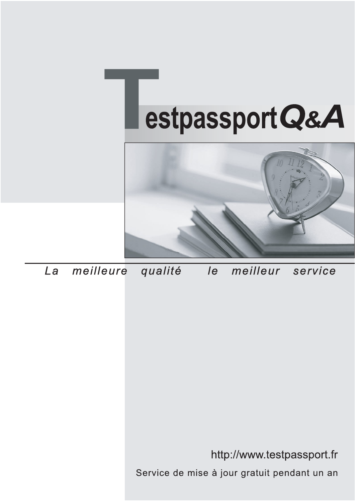



meilleure La qualité  $\overline{e}$ meilleur service

http://www.testpassport.fr

Service de mise à jour gratuit pendant un an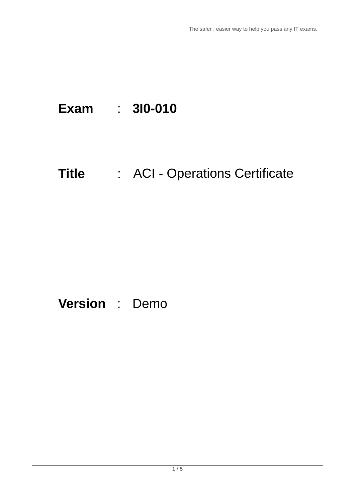# **Exam** : **3I0-010**

# **Title** : ACI - Operations Certificate

# **Version** : Demo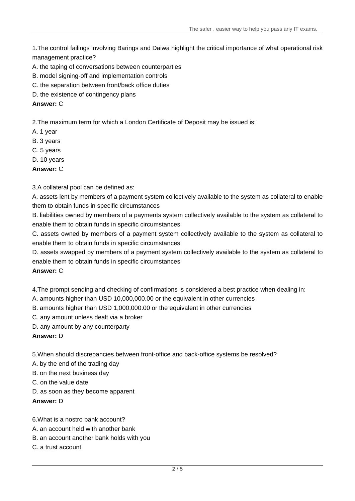The safer , easier way to help you pass any IT exams.

1.The control failings involving Barings and Daiwa highlight the critical importance of what operational risk management practice?

- A. the taping of conversations between counterparties
- B. model signing-off and implementation controls
- C. the separation between front/back office duties
- D. the existence of contingency plans

#### **Answer:** C

2.The maximum term for which a London Certificate of Deposit may be issued is:

- A. 1 year
- B. 3 years
- C. 5 years
- D. 10 years

**Answer:** C

#### 3.A collateral pool can be defined as:

A. assets lent by members of a payment system collectively available to the system as collateral to enable them to obtain funds in specific circumstances

B. liabilities owned by members of a payments system collectively available to the system as collateral to enable them to obtain funds in specific circumstances

C. assets owned by members of a payment system collectively available to the system as collateral to enable them to obtain funds in specific circumstances

D. assets swapped by members of a payment system collectively available to the system as collateral to enable them to obtain funds in specific circumstances

#### **Answer:** C

4.The prompt sending and checking of confirmations is considered a best practice when dealing in:

- A. amounts higher than USD 10,000,000.00 or the equivalent in other currencies
- B. amounts higher than USD 1,000,000.00 or the equivalent in other currencies
- C. any amount unless dealt via a broker
- D. any amount by any counterparty

#### **Answer:** D

5.When should discrepancies between front-office and back-office systems be resolved?

A. by the end of the trading day

- B. on the next business day
- C. on the value date
- D. as soon as they become apparent

**Answer:** D

6.What is a nostro bank account?

- A. an account held with another bank
- B. an account another bank holds with you
- C. a trust account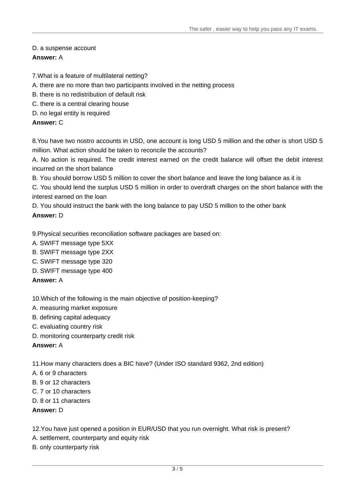# D. a suspense account

# **Answer:** A

7.What is a feature of multilateral netting?

- A. there are no more than two participants involved in the netting process
- B. there is no redistribution of default risk
- C. there is a central clearing house
- D. no legal entity is required

#### **Answer:** C

8.You have two nostro accounts in USD, one account is long USD 5 million and the other is short USD 5 million. What action should be taken to reconcile the accounts?

A. No action is required. The credit interest earned on the credit balance will offset the debit interest incurred on the short balance

B. You should borrow USD 5 million to cover the short balance and leave the long balance as it is

C. You should lend the surplus USD 5 million in order to overdraft charges on the short balance with the interest earned on the loan

D. You should instruct the bank with the long balance to pay USD 5 million to the other bank

# **Answer:** D

9.Physical securities reconciliation software packages are based on:

- A. SWIFT message type 5XX
- B. SWIFT message type 2XX
- C. SWIFT message type 320
- D. SWIFT message type 400

#### **Answer:** A

10.Which of the following is the main objective of position-keeping?

- A. measuring market exposure
- B. defining capital adequacy
- C. evaluating country risk
- D. monitoring counterparty credit risk

#### **Answer:** A

11.How many characters does a BIC have? (Under ISO standard 9362, 2nd edition)

- A. 6 or 9 characters
- B. 9 or 12 characters
- C. 7 or 10 characters
- D. 8 or 11 characters

#### **Answer:** D

12.You have just opened a position in EUR/USD that you run overnight. What risk is present?

- A. settlement, counterparty and equity risk
- B. only counterparty risk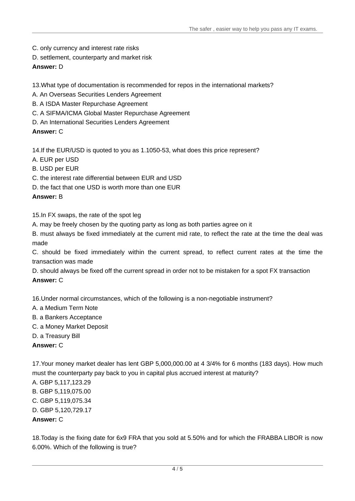- C. only currency and interest rate risks
- D. settlement, counterparty and market risk

# **Answer:** D

13.What type of documentation is recommended for repos in the international markets?

A. An Overseas Securities Lenders Agreement

- B. A ISDA Master Repurchase Agreement
- C. A SIFMA/ICMA Global Master Repurchase Agreement
- D. An International Securities Lenders Agreement

**Answer:** C

14.If the EUR/USD is quoted to you as 1.1050-53, what does this price represent?

- A. EUR per USD
- B. USD per EUR
- C. the interest rate differential between EUR and USD
- D. the fact that one USD is worth more than one FUR

#### **Answer:** B

15.In FX swaps, the rate of the spot leg

- A. may be freely chosen by the quoting party as long as both parties agree on it
- B. must always be fixed immediately at the current mid rate, to reflect the rate at the time the deal was made the contract of the contract of the contract of the contract of the contract of the contract of the contract of the contract of the contract of the contract of the contract of the contract of the contract of the contr

C. should be fixed immediately within the current spread, to reflect current rates at the time the transaction was made

D. should always be fixed off the current spread in order not to be mistaken for a spot FX transaction

# **Answer:** C

16.Under normal circumstances, which of the following is a non-negotiable instrument?

- A. a Medium Term Note
- B. a Bankers Acceptance
- C. a Money Market Deposit
- D. a Treasury Bill

**Answer:** C

17.Your money market dealer has lent GBP 5,000,000.00 at 4 3/4% for 6 months (183 days). How much must the counterparty pay back to you in capital plus accrued interest at maturity?

- A. GBP 5,117,123.29
- B. GBP 5,119,075.00
- C. GBP 5,119,075.34
- D. GBP 5,120,729.17

# **Answer:** C

18.Today is the fixing date for 6x9 FRA that you sold at 5.50% and for which the FRABBA LIBOR is now 6.00%. Which of the following is true?